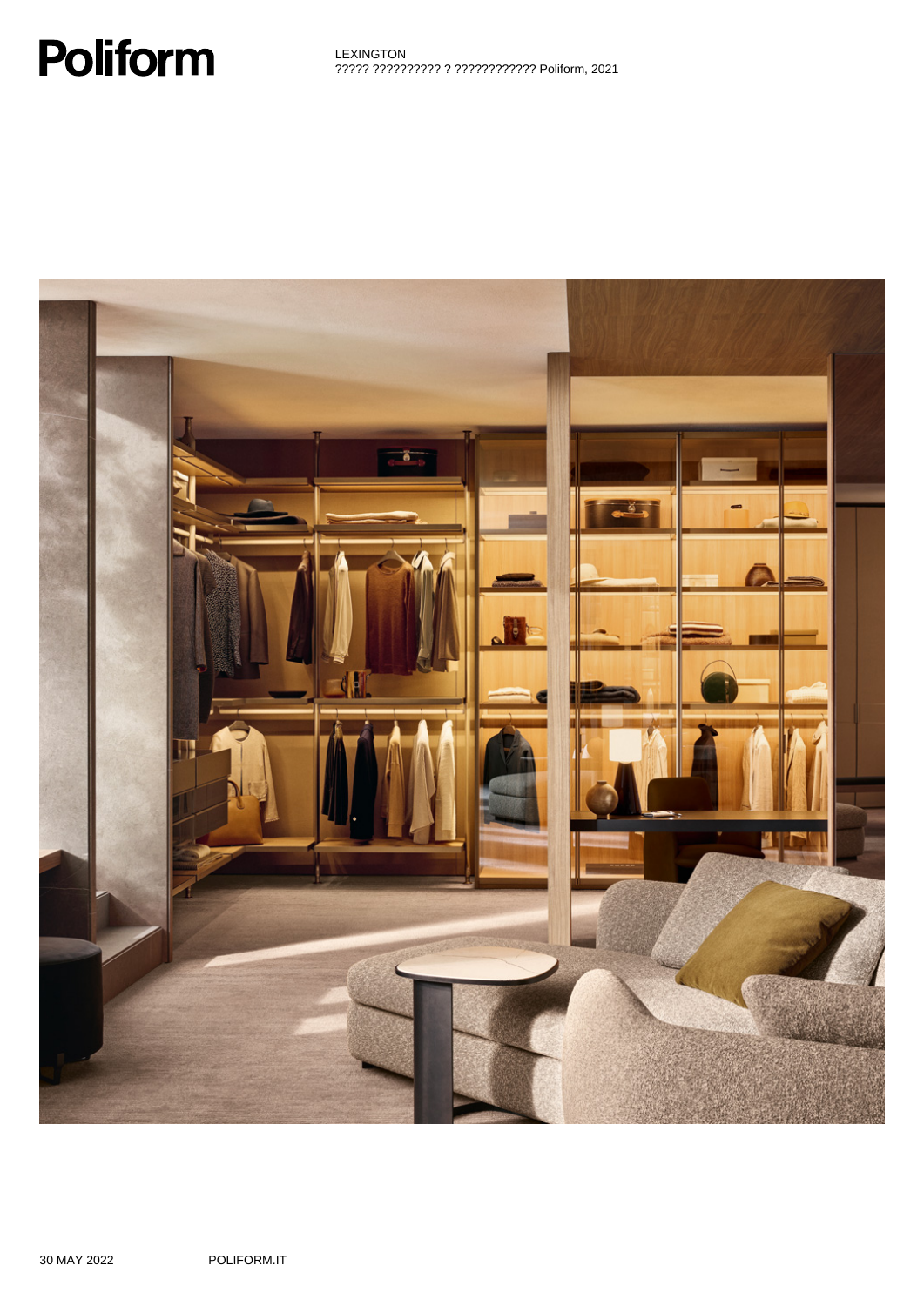# **Poliform**

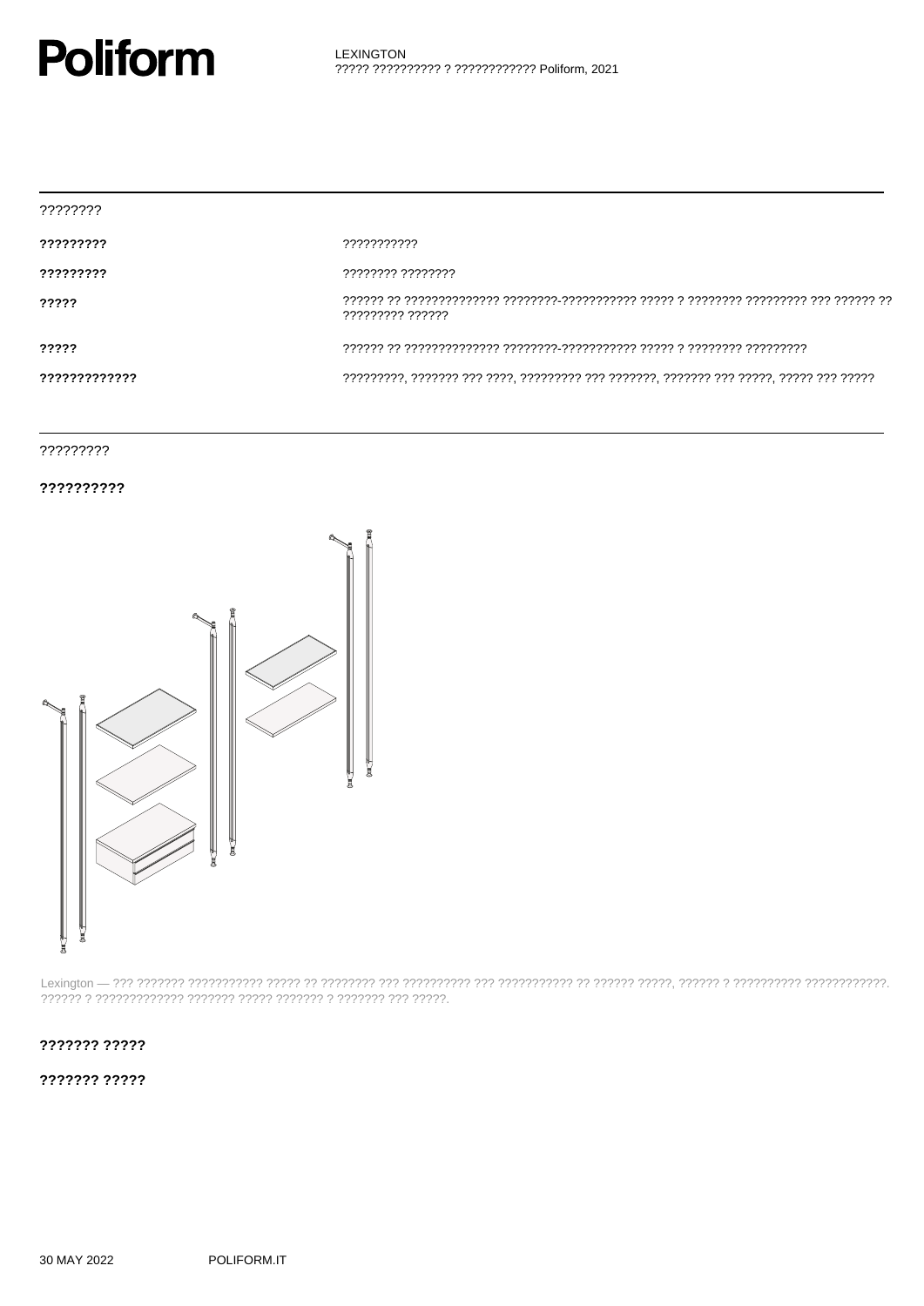

| ????????      |                   |
|---------------|-------------------|
| ?????????     | ???????????       |
| ?????????     | ???????? ???????? |
| ?????         | ????????? ??????  |
| ?????         |                   |
| ????????????? |                   |

### ?????????

### ??????????



### ??????? ?????

#### ??????? ?????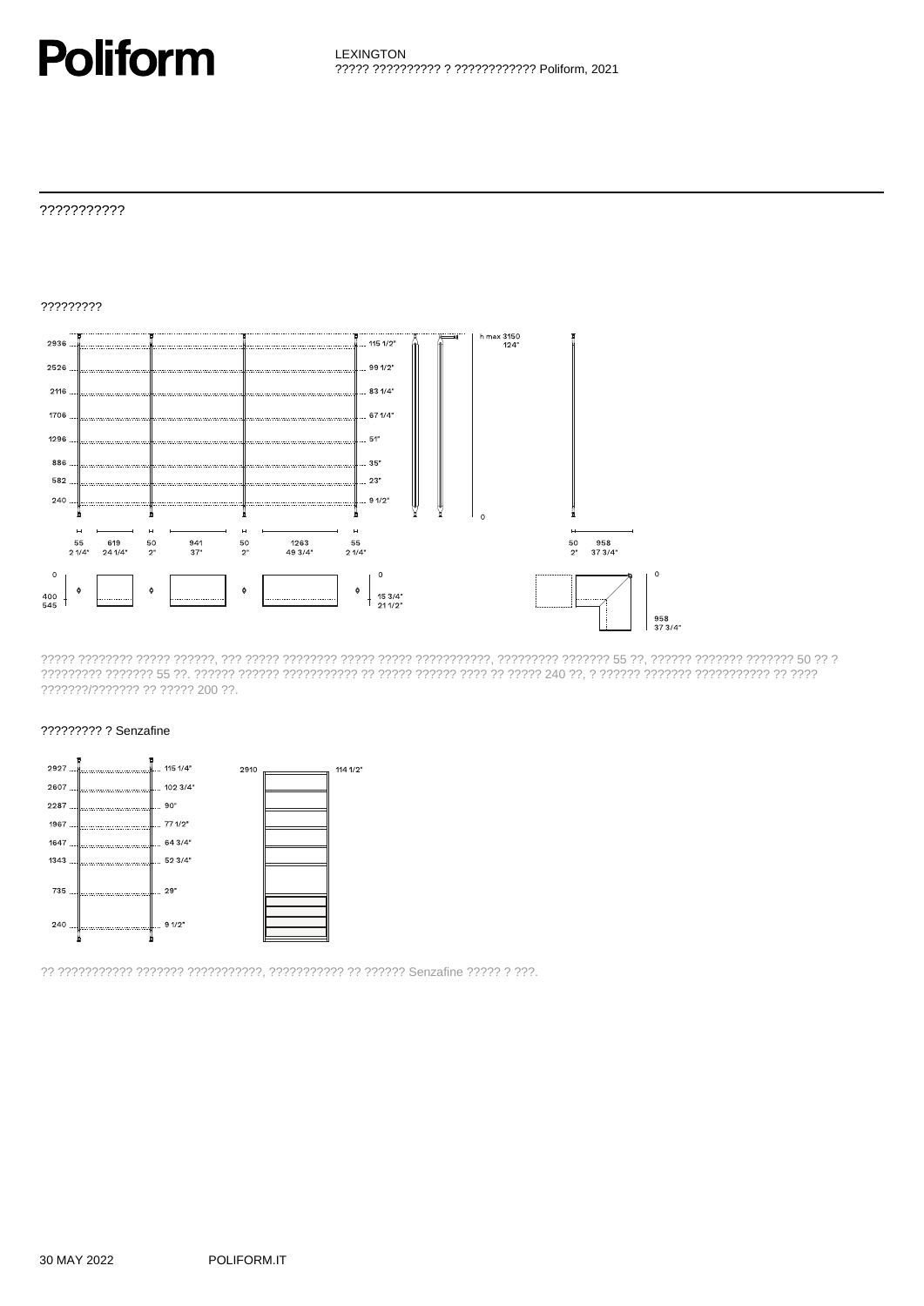### **Poliform**

### ???????????



22222272222222222222222220022.

#### ????????? ? Senzafine